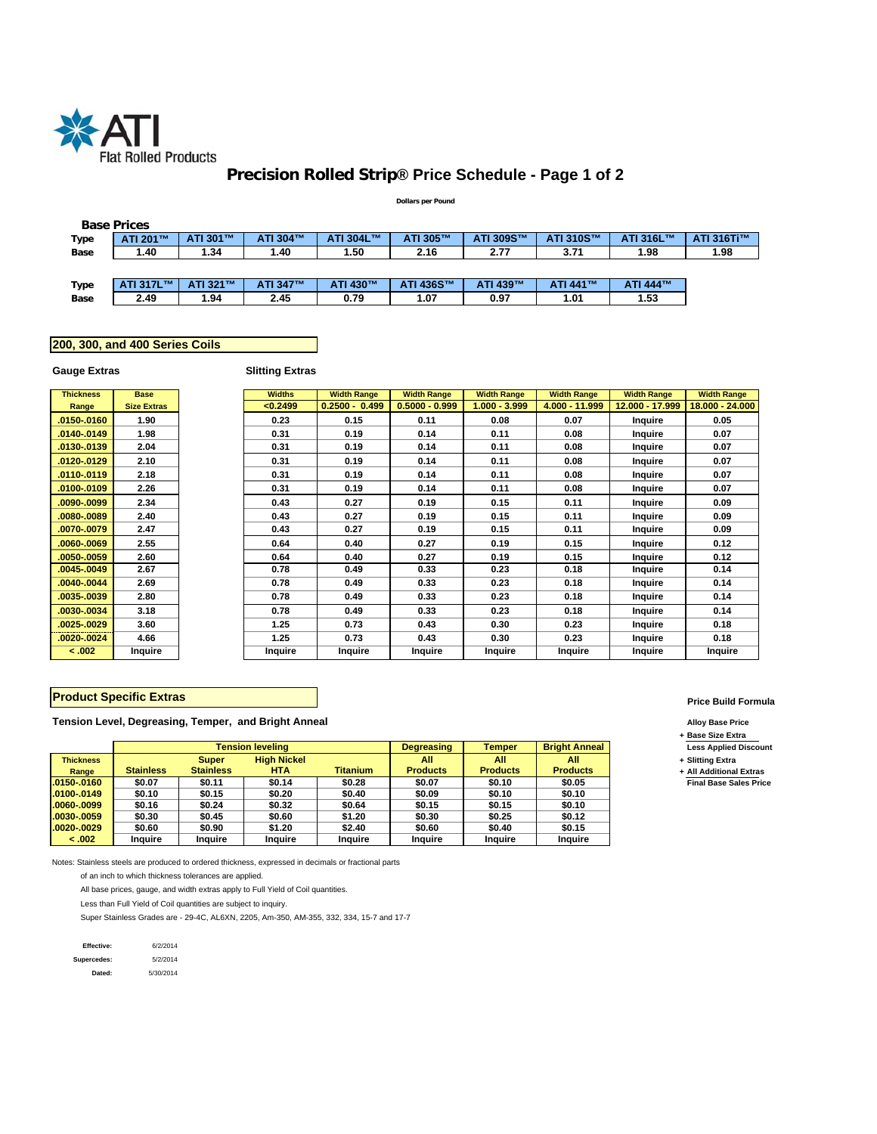

# **Precision Rolled Strip® Price Schedule - Page 1 of 2**

#### **Dollars per Pound**

|      | <b>Base Prices</b> |          |          |           |           |           |           |           |            |
|------|--------------------|----------|----------|-----------|-----------|-----------|-----------|-----------|------------|
| Type | ATI 201™           | ATI 301™ | ATI 304™ | ATI 304L™ | ATI 305™  | ATI 309S™ | ATI 310S™ | ATI 316L™ | ATI 316Ti™ |
| Base | 1.40               | 1.34     | 1.40     | 50.،      | 2.16      | 2.77      | 3.71      | 1.98      | 1.98       |
|      |                    |          |          |           |           |           |           |           |            |
| Type | ATI 317L™          | ATI 321™ | ATI 347™ | ATI 430™  | ATI 436S™ | ATI 439™  | ATI 441™  | ATI 444™  |            |
| Base | 2.49               | 1.94     | 2.45     | 0.79      | 1.07      | 0.97      | 1.01      | 1.53      |            |

## **200, 300, and 400 Series Coils**

## **Gauge Extras**

## **Slitting Extras**

| <b>Thickness</b> | <b>Base</b>        | <b>Widths</b>  | <b>Width Range</b> | <b>Width Range</b> | <b>Width Range</b> | <b>Width Range</b> | <b>Width Range</b> | <b>Width Range</b> |
|------------------|--------------------|----------------|--------------------|--------------------|--------------------|--------------------|--------------------|--------------------|
| Range            | <b>Size Extras</b> | < 0.2499       | $0.2500 - 0.499$   | $0.5000 - 0.999$   | 1.000 - 3.999      | 4.000 - 11.999     | 12.000 - 17.999    | 18.000 - 24.000    |
| 0150-.0160       | 1.90               | 0.23           | 0.15               | 0.11               | 0.08               | 0.07               | Inquire            | 0.05               |
| 0140-.0149       | 1.98               | 0.31           | 0.19               | 0.14               | 0.11               | 0.08               | Inquire            | 0.07               |
| 0130-.0139       | 2.04               | 0.31           | 0.19               | 0.14               | 0.11               | 0.08               | Inquire            | 0.07               |
| 0120-.0129       | 2.10               | 0.31           | 0.19               | 0.14               | 0.11               | 0.08               | Inquire            | 0.07               |
| 0110-0119        | 2.18               | 0.31           | 0.19               | 0.14               | 0.11               | 0.08               | Inquire            | 0.07               |
| 0100-.0109       | 2.26               | 0.31           | 0.19               | 0.14               | 0.11               | 0.08               | Inquire            | 0.07               |
| 0090-.0099       | 2.34               | 0.43           | 0.27               | 0.19               | 0.15               | 0.11               | Inquire            | 0.09               |
| 0080-.0089       | 2.40               | 0.43           | 0.27               | 0.19               | 0.15               | 0.11               | Inquire            | 0.09               |
| 0070-.0079       | 2.47               | 0.43           | 0.27               | 0.19               | 0.15               | 0.11               | Inquire            | 0.09               |
| 0060-0069.       | 2.55               | 0.64           | 0.40               | 0.27               | 0.19               | 0.15               | Inquire            | 0.12               |
| 0050-.0059       | 2.60               | 0.64           | 0.40               | 0.27               | 0.19               | 0.15               | Inquire            | 0.12               |
| 0045-.0049       | 2.67               | 0.78           | 0.49               | 0.33               | 0.23               | 0.18               | Inquire            | 0.14               |
| 0040-.0044       | 2.69               | 0.78           | 0.49               | 0.33               | 0.23               | 0.18               | Inquire            | 0.14               |
| 0035-.0039       | 2.80               | 0.78           | 0.49               | 0.33               | 0.23               | 0.18               | Inquire            | 0.14               |
| 0030-0034        | 3.18               | 0.78           | 0.49               | 0.33               | 0.23               | 0.18               | Inquire            | 0.14               |
| 0025-.0029       | 3.60               | 1.25           | 0.73               | 0.43               | 0.30               | 0.23               | Inquire            | 0.18               |
| 0020-.0024       | 4.66               | 1.25           | 0.73               | 0.43               | 0.30               | 0.23               | Inquire            | 0.18               |
| < .002           | Inquire            | <b>Inquire</b> | Inquire            | <b>Inquire</b>     | Inquire            | Inquire            | Inquire            | Inquire            |

## **Product Specific Extras**

**Tension Level, Degreasing, Temper, and Bright Anneal Alloy Base Price**

|                  |                  |                  | <b>Tension leveling</b> |                 | <b>Degreasing</b> | Temper          | <b>Bright Anneal</b> | <b>Less Applied</b> |
|------------------|------------------|------------------|-------------------------|-----------------|-------------------|-----------------|----------------------|---------------------|
| <b>Thickness</b> |                  | <b>Super</b>     | <b>High Nickel</b>      |                 | All               | All             | All                  | + Slitting Extra    |
| Range            | <b>Stainless</b> | <b>Stainless</b> | HTA.                    | <b>Titanium</b> | <b>Products</b>   | <b>Products</b> | <b>Products</b>      | + All Additiona     |
| $.0150-.0160$    | \$0.07           | \$0.11           | \$0.14                  | \$0.28          | \$0.07            | \$0.10          | \$0.05               | <b>Final Base S</b> |
| $.0100-.0149$    | \$0.10           | \$0.15           | \$0.20                  | \$0.40          | \$0.09            | \$0.10          | \$0.10               |                     |
| $.0060-.0099$    | \$0.16           | \$0.24           | \$0.32                  | \$0.64          | \$0.15            | \$0.15          | \$0.10               |                     |
| $.0030-.0059$    | \$0.30           | \$0.45           | \$0.60                  | \$1.20          | \$0.30            | \$0.25          | \$0.12               |                     |
| $.0020-.0029$    | \$0.60           | \$0.90           | \$1.20                  | \$2.40          | \$0.60            | \$0.40          | \$0.15               |                     |
| $-.002$          | Inquire          | <b>Inquire</b>   | Inquire                 | Inquire         | <b>Inquire</b>    | Inquire         | <b>Inquire</b>       |                     |

Notes: Stainless steels are produced to ordered thickness, expressed in decimals or fractional parts

of an inch to which thickness tolerances are applied.

All base prices, gauge, and width extras apply to Full Yield of Coil quantities.

Less than Full Yield of Coil quantities are subject to inquiry.

Super Stainless Grades are - 29-4C, AL6XN, 2205, Am-350, AM-355, 332, 334, 15-7 and 17-7

| Effective:  | 6/2/2014  |
|-------------|-----------|
| Supercedes: | 5/2/2014  |
| Dated:      | 5/30/2014 |

#### **Price Build Formula**

**+ Base Size Extra**

Less Applied Discount

**+ All Additional Extras**  $\overline{\mathsf{Final}~\mathsf{Base}~\mathsf{Sales}~\mathsf{Price}}$